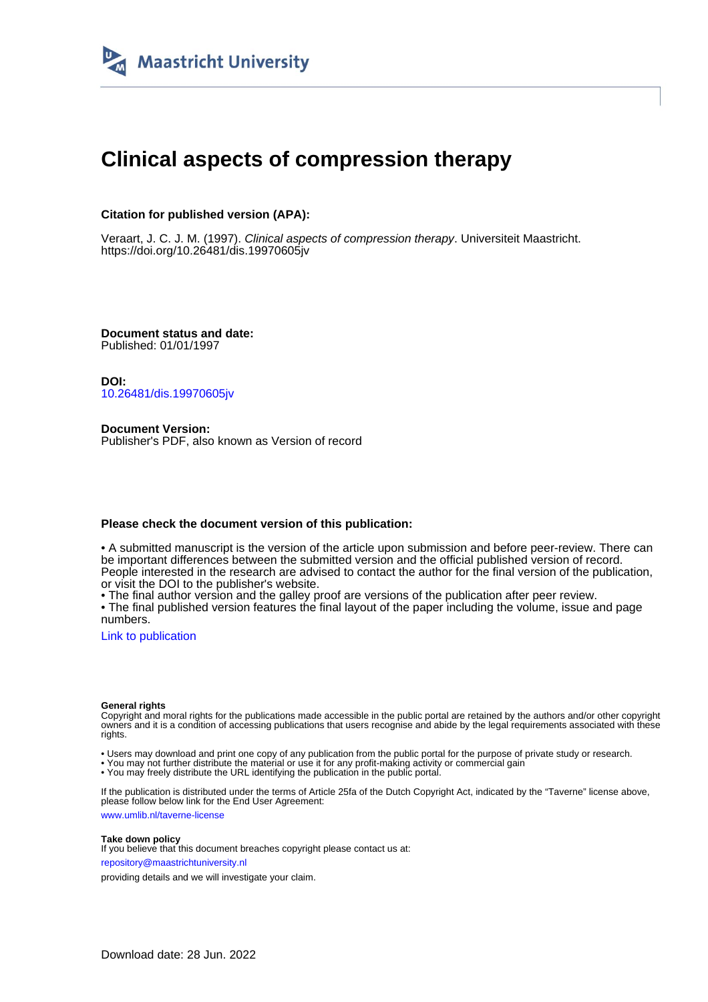

# **Clinical aspects of compression therapy**

## **Citation for published version (APA):**

Veraart, J. C. J. M. (1997). Clinical aspects of compression therapy. Universiteit Maastricht. <https://doi.org/10.26481/dis.19970605jv>

**Document status and date:** Published: 01/01/1997

**DOI:** [10.26481/dis.19970605jv](https://doi.org/10.26481/dis.19970605jv)

**Document Version:** Publisher's PDF, also known as Version of record

## **Please check the document version of this publication:**

• A submitted manuscript is the version of the article upon submission and before peer-review. There can be important differences between the submitted version and the official published version of record. People interested in the research are advised to contact the author for the final version of the publication, or visit the DOI to the publisher's website.

• The final author version and the galley proof are versions of the publication after peer review.

• The final published version features the final layout of the paper including the volume, issue and page numbers.

[Link to publication](https://cris.maastrichtuniversity.nl/en/publications/e477eed8-3f78-47a2-9e44-e5548d2650d9)

#### **General rights**

Copyright and moral rights for the publications made accessible in the public portal are retained by the authors and/or other copyright owners and it is a condition of accessing publications that users recognise and abide by the legal requirements associated with these rights.

• Users may download and print one copy of any publication from the public portal for the purpose of private study or research.

• You may not further distribute the material or use it for any profit-making activity or commercial gain

• You may freely distribute the URL identifying the publication in the public portal.

If the publication is distributed under the terms of Article 25fa of the Dutch Copyright Act, indicated by the "Taverne" license above, please follow below link for the End User Agreement:

www.umlib.nl/taverne-license

### **Take down policy**

If you believe that this document breaches copyright please contact us at: repository@maastrichtuniversity.nl

providing details and we will investigate your claim.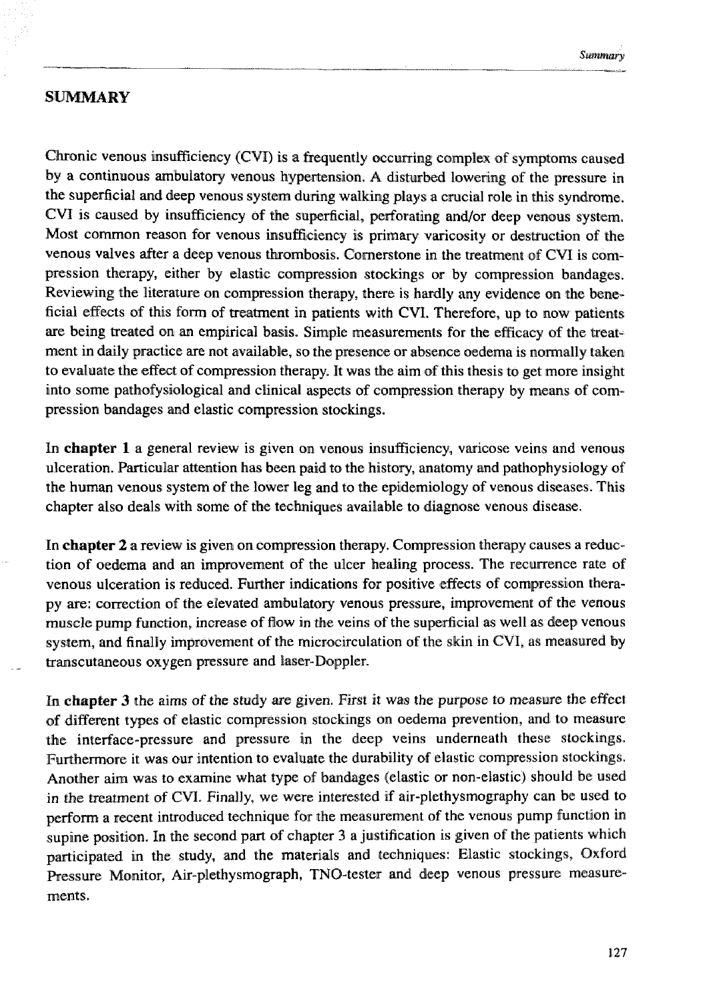## **SUMMARY**

Chronic venous insufficiency (CVI) is a frequently occurring complex of symptoms caused by a continuous ambulatory venous hypertension. A disturbed lowering of the pressure in the superficial **and** deep venous system during waking plays **a** crucial role in this syndrome. CVI is caused by insufficiency of the superficial, perforating and/or deep venous system. Most common reason for venous insufficiency is primary varicosity or destruction of the venous valves after a deep venous thrombosis. Cornerstone in the treatment of CVI is compression therapy, either by elastic compression stockings or by compression bandages. Reviewing the literature on compression therapy, there is hardly any evidence on the beneficial effects of this form of treatment in patients with CVI. Therefore, up to now patients are being treated on an empirical basis. Simple measurements for the efficacy of the treatment in daily practice are not available, so the presence or absence oedema is normally taken ta evaluate the effect of compression therapy. **It** was the aim of this thesis to get more insight into some pathofysiological and clinical aspects of compression therapy by means of compression bandages **and** elastic compression stockings.

In **chapter 1** a general review is given on venous insufficiency, varicose veins and venous ulceration. Particular attention has been paid to the history, anatomy and pathophysiology of the human venous system of the lower leg and to the epidemiology of venous diseases. This chapter also deals with some of the techniques available to diagnose venous disease.

In **chapter** 2 a review is given on compression therapy. Compression therapy causes a reduction of oedema and an improvement of the ulcer healing process. The recurrence rate of venous ulceration is reduced. Further indications for positive effects of compression thera**py** are: correction of the elevated ambulatory venous pressure, improvement of the venous muscle pump function, increase of flow in the veins of the superficial as well as deep venous system, and finally improvement of the microcirculation of the skin in CVI, as measured by transcutaneous oxygen pressure and laser-Doppler.

In **chinpter 3** the aims of the study *are* given. Eirxt **it was** the purpose **to** measure the effcct of different types of elastic compression stockings on aedema prevention, and to measure the interface-pressure and pressure in the deep veins underneath these stockings. Furthermore it was our intention to evaluate the durability of elastic compression stockings. Another aim was to examine what type of bandages (elastic or non-elastic) should be used in the treatment of CVI. Finally, we were interested if air-plethysmography can be used to perform a recent introduced technique for the measurement of the venous pump function in supine position. In the second part of chapter 3 a justification is given of the patients which participated in the study, and the materials and techniques: Elastic stockings, Oxford Pressure Monitor, Air-plethysmograph, TNO-tester and deep venous pressure measurements.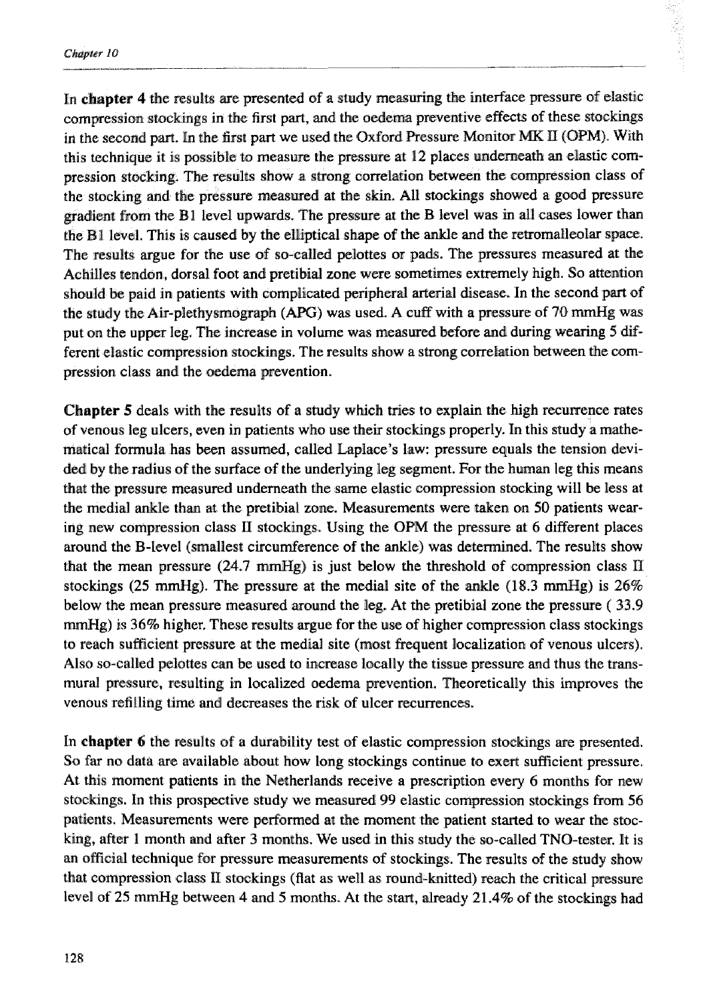In chapter 4 the results are presented of a study measuring the interface pressure of elastic compression stockings in the first part, and the oedema preventive effects of these stockings in the second part. In the first part we used the Oxford Pressure Monitor MK II (OPM). With this technique it is possible to measure the pressure at 12 places underneath an elastic compression stocking. The results show a strong correlation between the compression class of the stocking and the pressure measured at the skin. All stockings showed a good pressure gradient from the B<sub>1</sub> level upwards. The pressure at the B level was in all cases lower than the B1 level. This is caused by the elliptical shape of the ankle and the retromalleolar space. The results argue for the use of so-called pelottes or pads. The pressures measured at the Achilles tendon, dorsal foot and pretibial zone were sometimes extremely high. So attention should be paid in patients with complicated peripheral arterial disease. In the second part of the study the Air-plethysmograph *(APG)* was used. A cuff with a pressure of 70 mmHg was put on the upper leg. **The** increase in volume was measured before and during wearing 5 &fferent elastic compression stockings. The results show a strong correlation between the compression class and the oedema prevention.

**Chapter** 5 deals with the results of a study which tries to explain the high recurrence rates of venous leg ulcers, even in patients who use their stockings properly. In this study a mathernaticd formula has been assumed, called Laplace's law: pressure equals the tension devided by the radius of the surface of the underlying leg segment. For the human leg this means that the pressure measured underneath the same elastic compression stocking will be less at the medial ankle than at the pretibial zone. Measurements were taken on 50 patients wearing new compression class 11 stockings. Using the **OPM** the pressure at **6** different places around the B-level (smallest circumference of the ankle) was determined. The results show that the mean pressure  $(24.7 \text{ mmHg})$  is just below the threshold of compression class II stockings  $(25 \text{ mmHg})$ . The pressure at the medial site of the ankle  $(18.3 \text{ mmHg})$  is  $26\%$ below the mean pressure measured mound the leg. At the pretibial zone the pressure ( **33.9**  mmHg) is 36% higher. These results argue for the use of higher compression class stockings to reach sufficient pressure at the medial site (most frequent localization of venous ulcers). Also so-called pelottes can be used to increase locally the tissue pressure and thus the transmural pressure, resulting in localized oedema prevention. Theoretically this improves the venous refilling time and decreases the risk of ulcer recurrences.

In **chapter 6** the results of a durability test of elastic compression stockings me presented. So far no data are available about how long stockings continue to exert sufficient pressure. At his moment patients **in** the Netherlands receive a prescription every *6* months for new stockings. In this prospective study we measured 99 elastic compression stockings from 56 patients. Measurements were performed at the moment the patient started to wear the stocking, after I month **and** after 3 months. We used in this study the so-called TNO-tester. **lt** is an official technique for pressure measurements of stockings. The results of the study show that compression class  $\Pi$  stockings (flat as well as round-knitted) reach the critical pressure level of 25 mmHg between 4 and 5 months. At the start, already 21.4% of the stockings had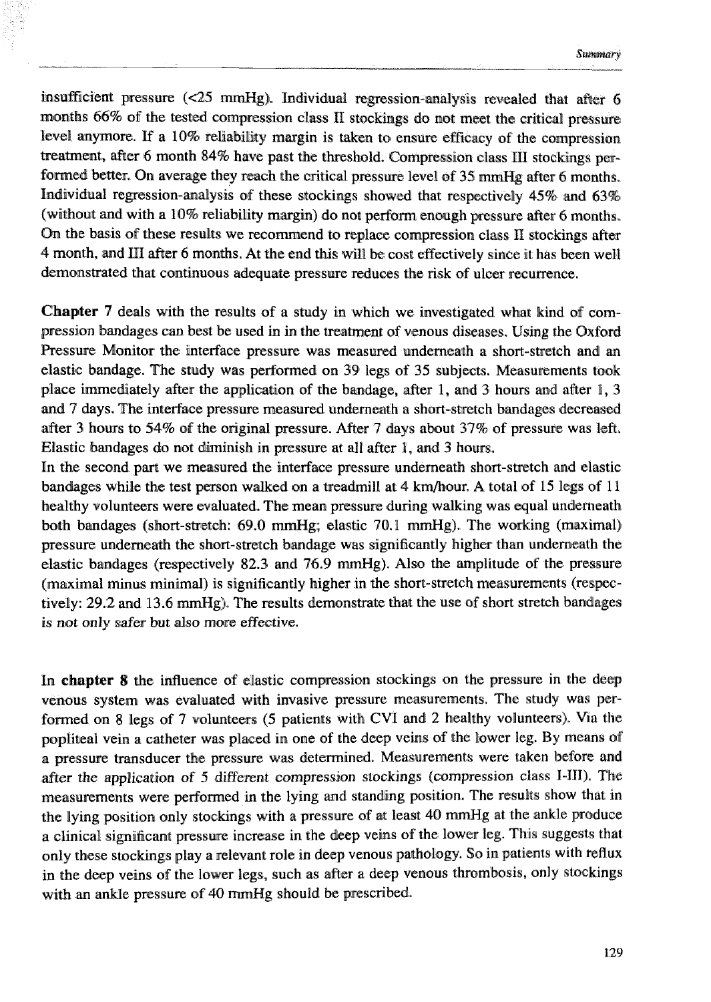insufficient pressure  $\ll 25$  mmHg). Individual regression-analysis revealed that after 6 months 66% of the tested compression class II stockings do not meet the critical pressure level anymore. If a 10% reliability margin is taken to ensure efficacy of the compression treatment, after 6 month 84% have past the threshold. Compression class III stockings performed better. On average they reach the critical pressure level of 35 mmHg after 6 months. Individual regression-analysis of these stockings showed that respectively 45% and 63% (without and with a 10% reliability margin) do not perform enough pressure after *6* months. **Oin** the basis of these results we recornend to replace compression class **IS** stockings after 4 month, md **PI1** after *6* months. **At** the end this will be cost effectively since it has ban well demonstrated that continuous adequate pressure reduces the risk of ulcer recurrence.

**Chapter 7** deals **with** the results of a study in which we investigated what kind of compression bandages can best be used in in the treatment of venous diseases. Using the Oxford Pressure Monitor the interface pressure was measured underneath a short-stretch and an elastic bandage. The study was performed on 39 legs of 35 subjects. Measurements took place immediately after the application of the bandage, after 1, and 3 hours and after 1, **3 and 7** days. The interface pressure measured underneath a short-stretch bandages decreased after 3 hours to 54% of the original pressure. After 7 days about 37% of pressure was left. Elastic bamdages do not diminish in presswe at all after 1, and **3** hours.

In the second part we measured the interface pressure underneath short-stretch and elastic bandages while the test person walked on a treadmill at 4 kmlhour. **A** total of 15 legs of 11 healthy volunteers were evaluated. The mean pressure during walking was equal underneath both bandages (short-stretch: 69.0 mmHg; elastic: 70.1 mmHg). The working (maximal) pressure underneath the short-stretch bandage was significantly higher than underneath the elastic bandages (respectively 82.3 and 76.9 **nmHg).** Also the amplitude of the pressure (maximal minus minimal) is significantly higher in the short-stretch measurements (respectively: 29.2 and 13.6 mmHg). The results demonstrate that the use of short stretch bandages is not only safer but also more effective.

In **chapter 8** the influence of elastic compression stockings on the pressure in the deep venous system was evaluated **with** invasive pressure measurements. The study was performed on 8 legs of 7 volunteers (5 patients with CVI and 2 healthy volunteers). Via the popliteal vein a catheter was placed in one of the deep veins of the lower leg. By means of a pressure transducer the pressure was determined. Measurements were taken before and after the application of 5 different compression stockings (compression class I-III). The measurements were performed in the lying and standing position. The results show that in the lying position only stockings with a pressure of at least 40 mmHg at the ankle produce a clinical significant pressure increase in the deep veins of the lower leg. This suggests that only these stockings play a relevant role in deep venous pathology. 30 in patients with reflux in the deep veins of the lower legs, such as after a deep venous thrombosis, only stockings with an ankle pressure of 40 mmHg should be prescribed.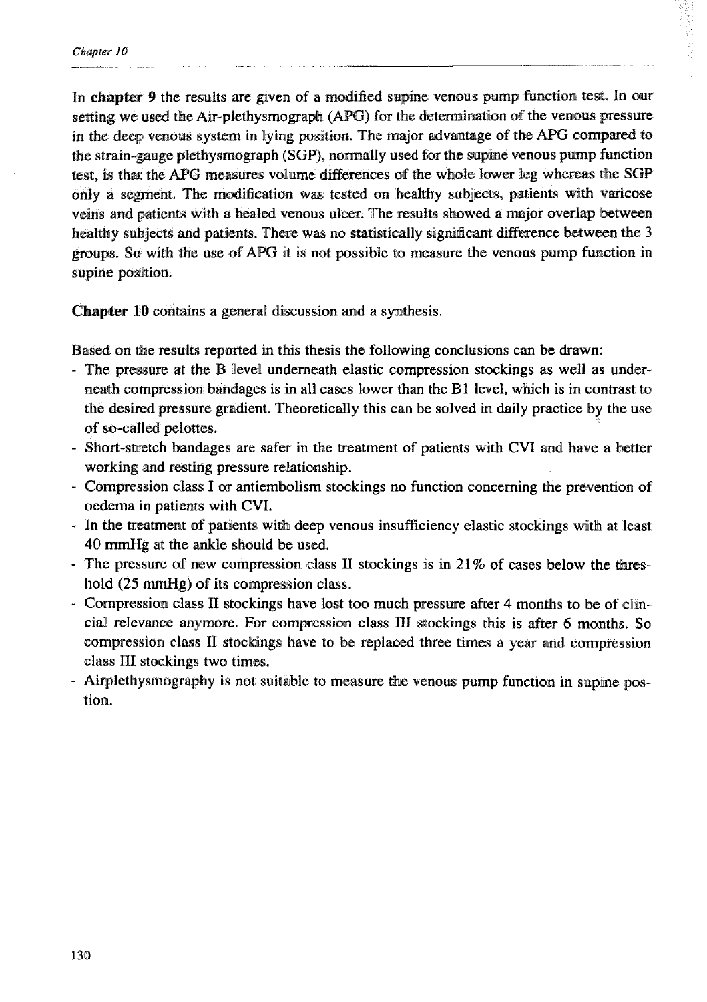In **chapter** 9 the results are given of a modified supine venous pump function test. In our setting we used the Air-plethysmograph (APG) for the determination of the venous pressure in the deep venous system in lying position. The major advantage of the APG compared to the strain-gauge plethysmograph (SGP), normally used for the supine venous pump function test, is that the APG measures volume differences of the whole lower leg whereas the SGP only a segment. The modification was tested on healthy subjects, patients with varicose veins and patients with a healed venous ulcer. The results showed a major overlap between healthy subjects md patients. There was no statistically significant difference between the 3 groups. So with the use of APG it is not possible to measure the venous pump function in supine position.

**Chapter 10** contains a general discussion and a synthesis.

Based on the results reported in this thesis the following conclusions can be drawn:

- The pressure at the B level underneath elastic compression stockings as well as underneath complression bandages is in all cases lower **than** the **B 1** level, which is in contrast to the desired pressure gradient. Theoreticidly this can be solved in daily practice by the use of so-called pelottes.
- Short-stretch bandages are safer in the treatment of patients with CVI and have a better working and resting pressure relationship.
- Compression class I or antiembolism stockings no function concerning the prevention of oedema in patients with CVI.
- In the treatment of patients with deep venous insufficiency elastic stockings with at least **40 rnmHg at** the ankle should be used.
- The pressure of new compression class II stockings is in 21% of cases below the threshold **(25 mmHg)** of its compression class.
- Compression class El stockings have lost too much pressure after 4 months to be of clincia1 relevance anymore. For compression class **131** stockings this is dter *6* months. So compression class II stockings have to be replaced three times a year and compression class BE1 stockings **two** times.
- Airplethysmography is not suitable to measure the venous pump function in supine pos**tion.**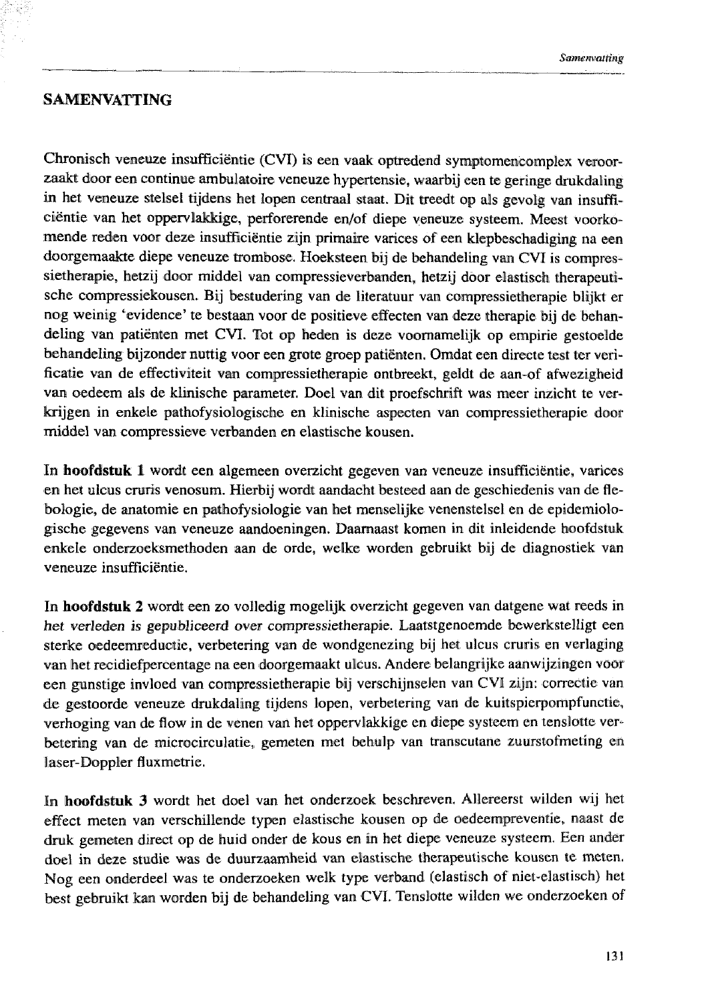## **SAMENVATTING**

Chronisch veneuze insufficiëntie (CVI) is een vaak optredend symptomencomplex veroorzaakt door een continue ambulatoire veneuze hypertensie, waarbij een te geringe drukdaling in het veneuze stelsel tijdens het lopen centraal staat. Dit treedt op als gevolg van insufficiëntie van het oppervlakkige, perforerende en/of diepe veneuze systeem. Meest voorkomende reden voor deze insufficiëntie zijn primaire varices of een klepbeschadiging na een doorgemaakte diepe veneuze trombose. Hoeksteen bij de behandeling van CVI is compressietherapie, hetzij door middel van compressieverbanden, hetzij door elastisch therapeutische compressiekousen. Bij bestudering van de literatuur van compressietherapie blijkt er nog weinig 'evidence'te bestaan voor de positieve efîecten van deze therapie bijl de behandeling van patiënten met CVI. Tot op heden is deze voornamelijk op empirie gestoelde behaindeling bijzonder nuttig voor een grote **groep** patienten. Omdat een directe test ter verificatie van de effectiviteit van compressietherapie ontbreekt, geldt de aan-of afwezigheid van oedeem als de klinische parameter. Doel van dit proefschrift was meer inzicht te verkrijgen in enkele pathofysiologische en klinische aspecten van compressietherapie door middel van compressieve verbanden en elastische kousen.

In **hoofdstuk 1** wordt een algemeen overzicht gegeven van veneuze insufficiëntie, varices en heit ulcus cruris venosum. Hierbij wordt aandacht besteed **om** de geschiedenis van de flebologie, de anatomie en pathofysiologie van het menselijke venenstelsel en de epidemiologische gegevens van, veneuze aandoeningen. Daarnaast komen in dit inleidende hoofdstuk enkele onderzoeksmethoden aan de orde, welke worden gebruikt bij de diagnostiek van veneuze insufficiëntie.

In **hoofdstuk 2** wordt een zo volledig mogelijk overzicht gegeven van datgene wat reeds in her vededen is gepubliceerd ever compressietherapie. Laatstgenoemde bewerkstelligt een sterke oedeemreductie, verbetering van de wondgenezing bij het ulcus cruris en verlaging van het recidiefpercentage na een doorgemaakt ulcus. Andere belangrijke aanwijzingen voor een gunstige invloed van compressietherapie bij verschijnselen van **CV11 zijn:** comeclie van de gestoorde veneuze dmkclailing tijdens lopen, verbetering van de kuitspierpompfunctie, verhoging van de flow in de venen van het oppervlakkige en diepe systeem en tenslotte verbetering van de microcirculatie, gemeten met behulp van transcutane zuurstofmeting en laser-Doppler fluxmetrie.

In hoofdstuk 3 wordt het doel van het onderzoek beschreven. Allereerst wilden wij het effecl meten van verschillende typen elastische kousen op de oedeemprevcntic, naast de druk gemeten direct op de huid onder de kous en in het diepe veneuze systeem. Een ander doel in deze studie **was** de duurzaamheid van elastische therapeutische kausen te meten. Nog een onderdeel was te onderzoeken welk type verband [elastisch of niet-elastisch) het best gebruikt kan worden bij de behandeling van CVI. Tenslotte wilden we onderzoeken of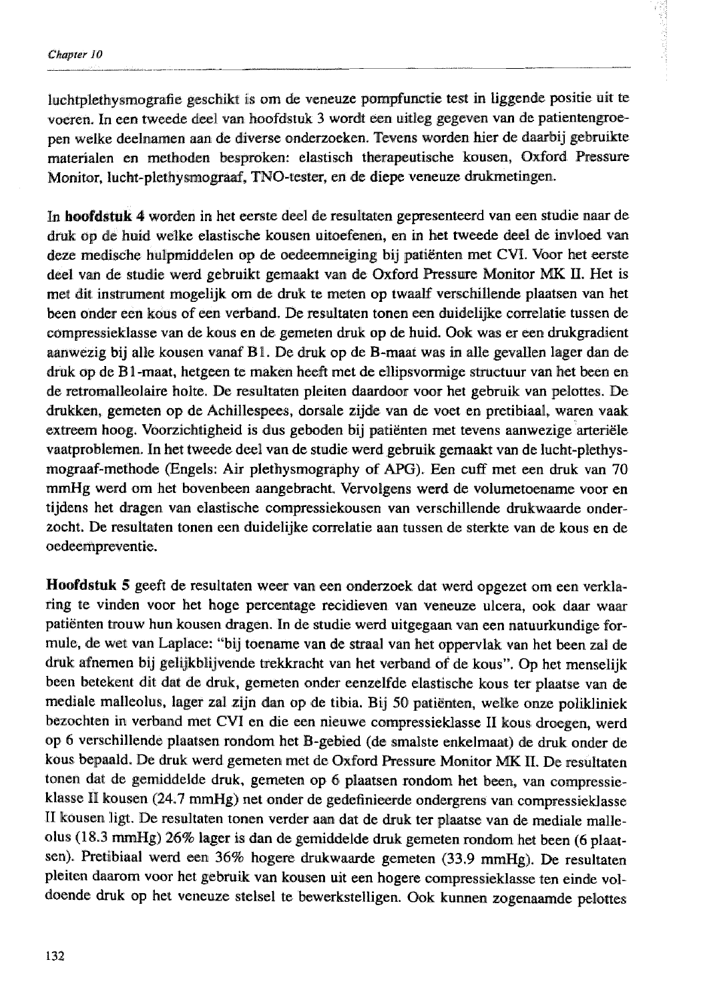luchtplethysmografie geschikt is om de veneuze pompfunctie test in liggende positie uit te voeren. In een meede *kl* wan hoofdstuk **3** wordt een uitleg gegeven van de patientengroepen welke deelnamen aan de diverse onderzoeken. Tevens worden hier de daarbij gebruikte materialen en methoden besproken: elastisch therapeutische kousen, Oxford Pressure Monitor, lucht-plethysmograaf, TNO-tester, en de diepe veneuze drukmetingen.

In **hoofdstuk 4** worden in het eerste deel de resultaten gepresenteerd van een studie naar de druk op de huid welke elastische kousen uitoefenen, en in het tweede deel de invloed van deze medische hulpmiddelen op de oedeemneiging bij patiënten met CVI. Voor het eerste deel van de studie werd gebruikt gemaakt van de Oxford Pressure Monitor MK II. Het is met dit instrument mogelijk om de druk te meten op twaalf verschillende plaatsen van het been onder een kous **af** een verband. De resultaten tonen een duidelijke correlatie tussen de compressieklasse van de kous en de gemeten druk op de huid. Ook was er een drukgradient aanwezig bij alle kousen vanaf B1. De druk op de B-maat was in alle gevallen lager dan de **druk** op de B 1 -maat, hetgeen te maken heeft met de ellipsvormige structuur van het been en de retromalleolaire holte. De resultaten pleiten daardoor voor het gebruik van pelottes. De drukken, gemeten op de Achillespees, dorsale zijde van de voet en pretibiad, waren. vaak extreem hoog. Voorzichtigheid is dus geboden bij patiënten met tevens aanwezige arteriële vaatproblemen. In bet tweede deel van de studie werd gebruik gemaakt van de Iucht-plethysmograaf-methode (Engels: Air plethysmography of APG). Een cuff met een druk van 70 mmHg werd om het bovenbeen aangebracht. Vervolgens werd de volumetoename voor en tijdens het dragen van elastische compressiekousen van verschillende drukwaarde onderzocht. De resultaten tonen een duidelijke correlatie aan tussen de sterkte van de kous en de oedeempreventie.

Hoofdstuk 5 geeft de resultaten weer van een onderzoek dat werd opgezet om een verklaring te vinden voor het hoge percentage recidieven van veneuze ulcera, ook **daar** wam patiënten trouw hun kousen dragen. In de studie werd uitgegaan van een natuurkundige formule, de wet van Laplace: "bij toename van de straal van het oppervlak van het been zal de druk afnemen bij gelijkblijvende trekkracht van het verband of de kous". Op het menselijk been betekent dit dat de druk, gemeten onder eenzelfde elastische kous ter plaatse van de mediale malleolus, lager zal zijn dan op de tibia. Bij 50 patiënten, welke onze polikliniek bezochten in verband met CV1 en die een nieuwe compressieklasse II kous droegen, werd **op B** verschilllende plaatsen rondom het B-gebied (de smalste enkelmaat) de **&k** onder de kous bepaald. De druk werd gemeten met de Oxford Pressure Monitor MK II. De resultaten tonen dat de gemiddelde druk, gemeten op 6 plaatsen rondom het been, van compressieklasse 11 kousen (24.7 mmHg) net onder de gedefinieerde ondergrens **van** compressieklasse II kousen ligt. De resultaten tonen verder aan dat de druk ter plaatse van de mediale malleolus (18.3 mmHg) 26% lager is dan de gemiddelde druk gemeten rondom het been (6 plaatsen). Pretibiaal werd een 36% hogere drukwaarde gemeten **(33.9** mmHg). De resultaten pleiten daarom voor het gebruik van kousen uit een hogere compressieklasse ten einde voldoende druk op het veneuze stelsel te bewerkstelligen. Ook kunnen zogenaamde pelottes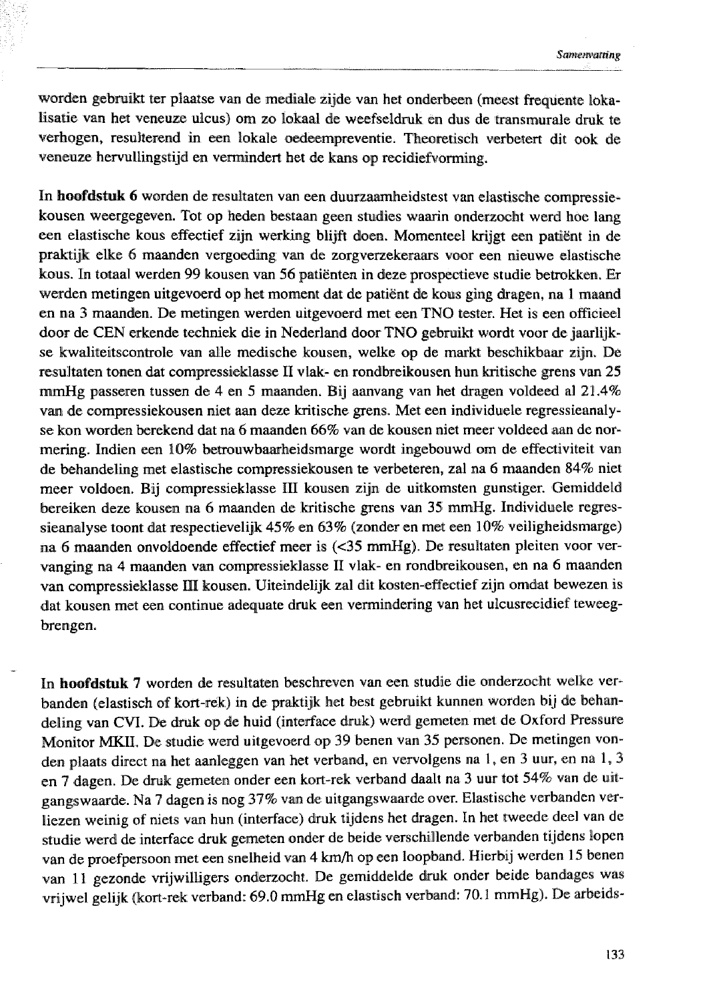worden gebruikt ter plaatse van de mediale zijde van het onderbeen (meest frequente lokalisatie van het veneuze ulcus) om zo lokaal de weefseldruk en dus de transmurale druk te verhogen, resulterend in een lokale oedeempreventie. Theoretisch verbetert dit ook de veneuze hervullingstijd en vermindert het de kans op recidiefvorming.

In **hoofdstuk 6** worden de resultaten van een duurzaamheidstest van elastische compressiekousen weergegeven. Tot op heden bestaan geen studies waarin onderzocht werd hoe lang een elastische kous effectief zijn werking blijft doen. Momenteel **krijgt** een patiënt in de praktijk elke 6 maanden vergoeding van de zorgverzekeraars voor een nieuwe elastische kous. In totaal werden 99 kousen van 56 patiënten in deze prospectieve studie betrakken. Er werden metingen uitgevoerd op het moment dat de patiënt de kous ging dragen, na 1 maand en na 3 maanden. De metingen werden uitgevoerd met een TNO tester. Het is een officieel door de CEN erkende techniek die in Nederland door TNO gebruikt wordt voor de jaarlijkse kwaliteitscontrole van alle medische kousen, welke op de markt beschikbaar zijn. De resultaten tonen dat compressieklasse II vlak- en rondbreikousen hun kritische grens van 25 mmHg passeren tussen de 4 en 5 maanden. Bij aanvang van het dragen voldeed al 21.4% van de compressiekousen niet aan deze kritische grens. Met een individuele regressieanalyse kon worden berekend dar na 6 maanden 66% van de kousen niet meer voldeed **aan** de normering. Indien een 10% betrouwbaarheidsmarge wordt ingebouwd om de effectiviteit van de behandeling met elastische compressiekousen te verbeteren, zal na *6* maanden 84% niet meer voldoen. Bij compressieklasse III kousen zijin de uitkomsten gunstiger. Gemiddeld bereiken deze kousen na 6 maanden de kritische grens van 35 mmHg. Individuele regessieanalyse toont dat respectievelijk 45% en 63% (zonder en met een 10% veiligheidsmarge) na 6 maanden onvoldoende effectief meer **is** (c35 mmHg). De resultaten pleiten voor vervanging na 4 maanden van compressieklasse **11** vlak- en rondbreikousen, en na *6* maanden van compressieklasse III kousen. Uiteindelijk zal dit kosten-effectief zijn omdat bewezen is dat kousen met een continue adequate druk een vermindering van het ulcusrecidief teweegbrengen.

Em **hoofdgtuk 7** worden de resultaten beschreven wan een studie die onderzacht welke verbanden (elastisch of kort-rek) in de praktijk het best gebruikt kunnen worden bij de behandeling van CVI. De druk op de huid (interface druk) werd gemeten met de Oxford Pressure Monitor MKII. De studie werd uitgevoerd op 39 benen van 35 personen. De metingen vonden plaats direct na het aanleggen van het verband, en vervolgens na 1, en 3 uur, en na 1, 3 en 7 dagen. De druk gemeten onder een kort-rek verband daalt na 3 uur tot 54% van de uitgangswaarde. Na 7 dagen is nog 37% van de uitgangswaarde over. Elastische verbanden verliezen weinig of niets van hun (interface) druk tijdens her dragen. In het tweede deel van de studie werd de interface druk gemeten onder de beide verschillende verbanden tijdens lopen van de proefpersoon met een snelheid van 4 km/h op een loopband. Hierbij werden 15 benen van 11 gezonde vrijwilligers onderzocht. De gemiddelde druk onder beide bandages was vrijwel gelijk (kort-rek verband: 69.0 mmHg en elastisch verband: 30.1 mmHg). De arbcids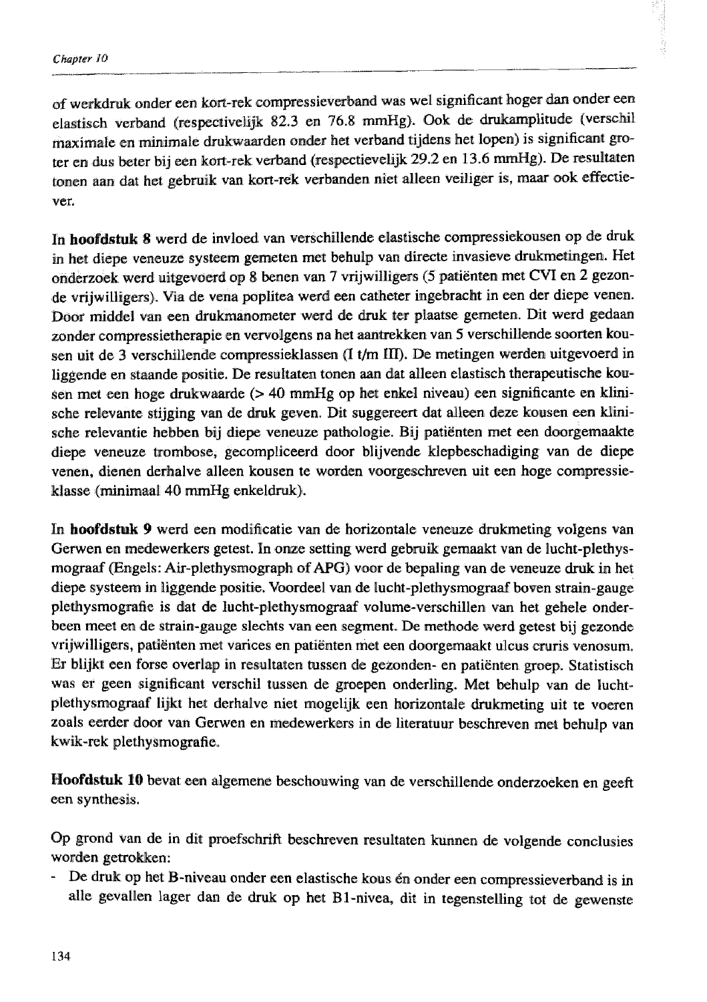of werkdruk onder een kort-rek compressieverband was wel significant hoger dan onder een elastisch verband (respectivelijk 82.3 en 76.8 mmHg). Ook de drukamplitude (verschil maximale en minimale drukwaarden onder het verband tijdens het lopen) is significant groter en dus beter bij een kort-rek verband (respectievelijk 29.2 en 13.6 mmHg). De resultaten tonen aan dat het gebruik van kort-rek verbanden niet alleen veiliger is, maar ook effectiever.

In hoofdstuk 8 werd de invloed van verschillende elastische compressiekousen op de druk in het diepe veneuze systeem gemeten met behulp van directe invasieve drukmetingen. Het onderzoek werd uitgevoerd op 8 benen van T vrijwilliger^ (5 patiënten met **CW** en 2 gemnde vrijwilligers). Via de vena poplitea werd een catheter ingebracht in een der diepe venen. Door middel van een drukmanometer werd de druk ter plaatse gemeten. Dit werd gedaan zonder compressietherapie en vervolgens na het aantrekken van 5 verschillende soorten kousen **uit** de 3 verschillende compressieklamen [I **t/rn m].** De metingen werden uitgevoerd in liggende en staande positie. De resultaten tonen aan dat alleen elastisch therapeutische kousen met een hoge drukwaarde  $(> 40 \text{ mmHg}$  op het enkel niveau) een significante en klinische relevante stijging van de druk geven. Dit suggereert dat aalleen deze kousen een Minische relevantie hebben bij diepe veneuze pathologie. Bij patignten met een doorgemaakte diepe veneuze trombose, gecompliceerd door blijvende klepbeschadiging **van;** de diepe venen, dienen derhalve alleen kousen te worden voorgeschreven uit een hoge compressieklasse (minimaal 40 mmHg enkeldruk).

In **hoofdstuk 9** werd een modificatie van de horizontale veneuze drukmeting volgens van Gewen en medewerkers getest. In ome setting werd gebruik gemaakt van de lucht-plethysmograaf (Engels: Air-plethysmograph of APG) voor de bepaling van de veneuze druk in het **diepe** systeem in liggende positie. Voordeel van de lucht-plethysmograaf boven strain-gauge plethysrnografia is dat de lucht-plethysmogaaf valume-verschillen van het gehele onderbeen meet en de sitrain-gauge slechts van een segment. De methode werd getest bij gezonde vrijwilligers, patiënten met varices en patiënten met een doorgemaakt ulcus cruris venosum. Er blijkt een forse overlap in resultaten tussen de gezonden- en patiënten groep. Statistisch was er geen significant verschil tussen de grnepen onderling. Met behulp **van** de luchrpllelhysmopaf lijkt **kct** derhalve niet mogelijk een horizontale drukmeting uit te voeren zoals eerder door van Gerwen en medewerkers in de literatuur beschreven mek behulp van kwik-rek plethysmografie.

Hoofdstuk 10 bevat een algemene beschouwing van de verschillende onderzoeken en geeft een synthesis.

Op grond van de in dit proefschrift beschreven resultaten kunnen de volgende conclusies worden getrokken:

- De druk op het B-niveau onder een elastische kous én onder een compressieverband is in alle gevullen lager dan de **druk** op het BI-nivea, dit in tegenstelling tot de gewenste